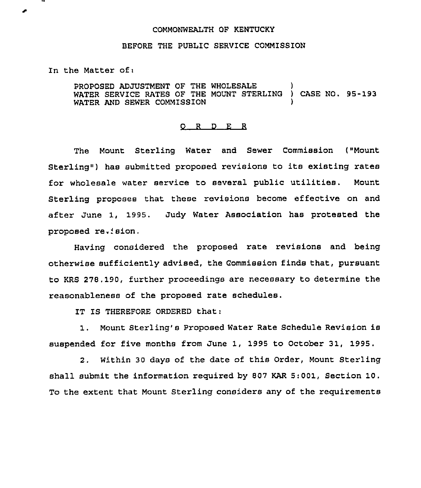## COMMONWEALTH OF KENTUCKY

## BEFORE THE PUBLIC SERVICE COMMISSION

In the Matter of:

PROPOSED ADJUSTMENT OF THE WHOLESALE WATER SERVICE RATES OF THE MOUNT STERLING ) CASE NO. 95-193 WATER AND SEWER COMMISSION

## 0 <sup>R</sup> <sup>D</sup>

The Mount Sterling Water and Sewer Commission ("Mount Sterling<sup>4</sup>) has submitted proposed revisions to its existing rates for wholesale water service to several public utilities. Mount Sterling proposes that these revisions become effective on and after June 1, 1995. Judy Water Association has protested the proposed re.'sion,

Having considered the proposed rate revisions and being otherwise sufficiently advised, the Commission finds that, pursuant to KRS 278.190, further proceedings are necessary to determine the reasonableness of the proposed rate schedules.

IT IS THEREFORE ORDERED that:

1. Mount Sterling's Proposed Water Rate Schedule Revision is suspended for five months from June 1, 1995 to October 31, 1995.

2. Within 30 days of the date of this Order, Mount Sterling shall submit the information required by 807 KAR 5:001, Section 10. To the extent that Mount Sterling considers any of the requirements